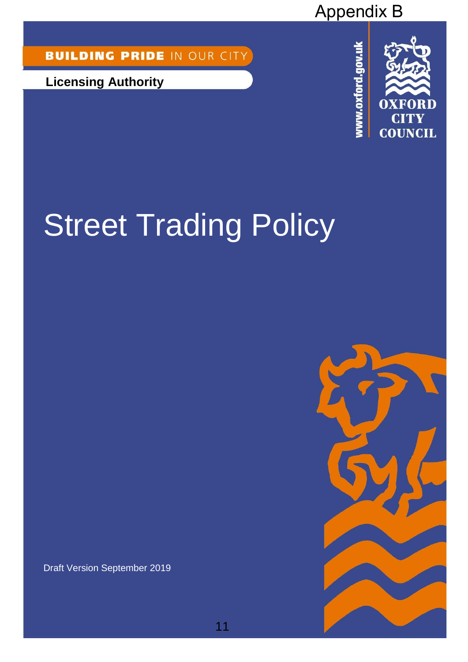# Appendix B

**BUILDING PRIDE IN OUR CITY** 

**Licensing Authority**



# Street Trading Policy

Draft Version September 2019

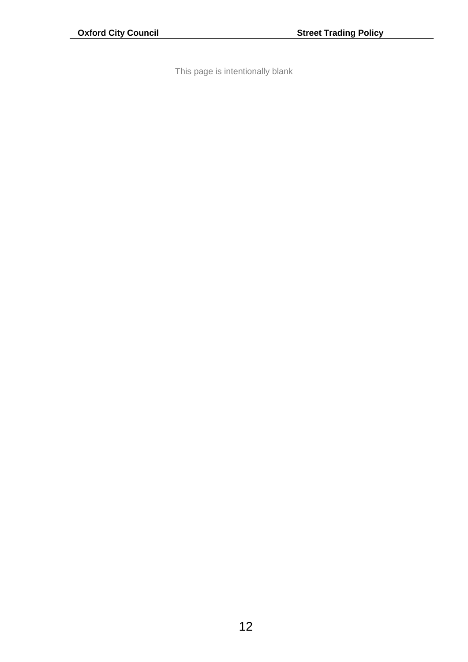This page is intentionally blank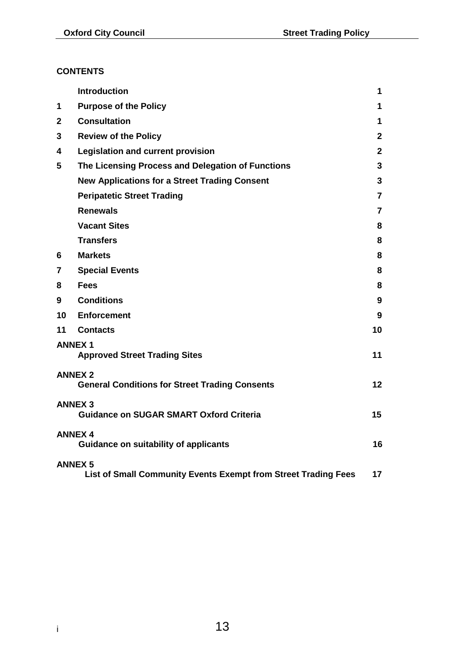## **CONTENTS**

|                                                                      | <b>Introduction</b>                                                              | 1              |
|----------------------------------------------------------------------|----------------------------------------------------------------------------------|----------------|
| 1                                                                    | <b>Purpose of the Policy</b>                                                     | $\mathbf{1}$   |
| $\mathbf 2$                                                          | <b>Consultation</b>                                                              | 1              |
| 3                                                                    | <b>Review of the Policy</b>                                                      | $\mathbf{2}$   |
| 4                                                                    | <b>Legislation and current provision</b>                                         | $\mathbf{2}$   |
| 5                                                                    | The Licensing Process and Delegation of Functions                                | 3              |
|                                                                      | <b>New Applications for a Street Trading Consent</b>                             | 3              |
|                                                                      | <b>Peripatetic Street Trading</b>                                                | $\overline{7}$ |
|                                                                      | <b>Renewals</b>                                                                  | $\overline{7}$ |
|                                                                      | <b>Vacant Sites</b>                                                              | 8              |
|                                                                      | <b>Transfers</b>                                                                 | 8              |
| 6                                                                    | <b>Markets</b>                                                                   | 8              |
| 7                                                                    | <b>Special Events</b>                                                            | 8              |
| 8                                                                    | <b>Fees</b>                                                                      | 8              |
| 9                                                                    | <b>Conditions</b>                                                                | 9              |
| 10                                                                   | <b>Enforcement</b>                                                               | 9              |
| 11                                                                   | <b>Contacts</b>                                                                  | 10             |
| <b>ANNEX 1</b><br><b>Approved Street Trading Sites</b>               |                                                                                  |                |
|                                                                      | <b>ANNEX 2</b><br><b>General Conditions for Street Trading Consents</b>          | 12             |
|                                                                      | <b>ANNEX 3</b><br><b>Guidance on SUGAR SMART Oxford Criteria</b>                 | 15             |
| <b>ANNEX 4</b><br>16<br><b>Guidance on suitability of applicants</b> |                                                                                  |                |
|                                                                      | <b>ANNEX 5</b><br>List of Small Community Events Exempt from Street Trading Fees | 17             |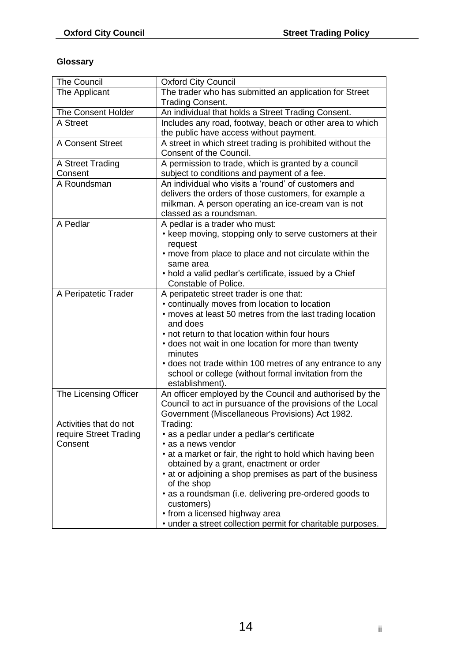# **Glossary**

| The Council               | <b>Oxford City Council</b>                                  |
|---------------------------|-------------------------------------------------------------|
| The Applicant             | The trader who has submitted an application for Street      |
|                           | Trading Consent.                                            |
| <b>The Consent Holder</b> | An individual that holds a Street Trading Consent.          |
| A Street                  | Includes any road, footway, beach or other area to which    |
|                           | the public have access without payment.                     |
| A Consent Street          | A street in which street trading is prohibited without the  |
|                           | Consent of the Council.                                     |
| A Street Trading          | A permission to trade, which is granted by a council        |
| Consent                   | subject to conditions and payment of a fee.                 |
| A Roundsman               | An individual who visits a 'round' of customers and         |
|                           | delivers the orders of those customers, for example a       |
|                           | milkman. A person operating an ice-cream van is not         |
|                           | classed as a roundsman.                                     |
| A Pedlar                  | A pedlar is a trader who must:                              |
|                           | • keep moving, stopping only to serve customers at their    |
|                           | request                                                     |
|                           | • move from place to place and not circulate within the     |
|                           | same area                                                   |
|                           | • hold a valid pedlar's certificate, issued by a Chief      |
|                           | Constable of Police.                                        |
| A Peripatetic Trader      | A peripatetic street trader is one that:                    |
|                           | • continually moves from location to location               |
|                           | • moves at least 50 metres from the last trading location   |
|                           | and does                                                    |
|                           | • not return to that location within four hours             |
|                           | • does not wait in one location for more than twenty        |
|                           | minutes                                                     |
|                           | • does not trade within 100 metres of any entrance to any   |
|                           | school or college (without formal invitation from the       |
|                           | establishment).                                             |
| The Licensing Officer     | An officer employed by the Council and authorised by the    |
|                           | Council to act in pursuance of the provisions of the Local  |
|                           | Government (Miscellaneous Provisions) Act 1982.             |
| Activities that do not    | Trading:                                                    |
| require Street Trading    | · as a pedlar under a pedlar's certificate                  |
| Consent                   | · as a news vendor                                          |
|                           | • at a market or fair, the right to hold which having been  |
|                           | obtained by a grant, enactment or order                     |
|                           | • at or adjoining a shop premises as part of the business   |
|                           | of the shop                                                 |
|                           | • as a roundsman (i.e. delivering pre-ordered goods to      |
|                           | customers)                                                  |
|                           | • from a licensed highway area                              |
|                           | • under a street collection permit for charitable purposes. |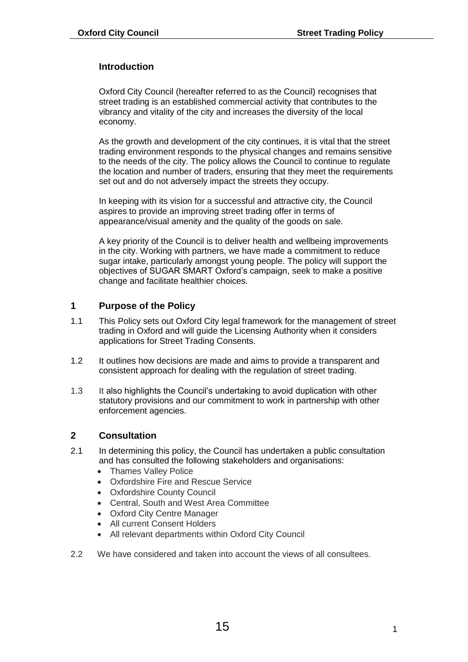#### <span id="page-4-0"></span>**Introduction**

Oxford City Council (hereafter referred to as the Council) recognises that street trading is an established commercial activity that contributes to the vibrancy and vitality of the city and increases the diversity of the local economy.

As the growth and development of the city continues, it is vital that the street trading environment responds to the physical changes and remains sensitive to the needs of the city. The policy allows the Council to continue to regulate the location and number of traders, ensuring that they meet the requirements set out and do not adversely impact the streets they occupy.

In keeping with its vision for a successful and attractive city, the Council aspires to provide an improving street trading offer in terms of appearance/visual amenity and the quality of the goods on sale.

A key priority of the Council is to deliver health and wellbeing improvements in the city. Working with partners, we have made a commitment to reduce sugar intake, particularly amongst young people. The policy will support the objectives of SUGAR SMART Oxford's campaign, seek to make a positive change and facilitate healthier choices.

#### **1 Purpose of the Policy**

- 1.1 This Policy sets out Oxford City legal framework for the management of street trading in Oxford and will guide the Licensing Authority when it considers applications for Street Trading Consents.
- 1.2 It outlines how decisions are made and aims to provide a transparent and consistent approach for dealing with the regulation of street trading.
- 1.3 It also highlights the Council's undertaking to avoid duplication with other statutory provisions and our commitment to work in partnership with other enforcement agencies.

#### <span id="page-4-1"></span>**2 Consultation**

- 2.1 In determining this policy, the Council has undertaken a public consultation and has consulted the following stakeholders and organisations:
	- Thames Valley Police
	- Oxfordshire Fire and Rescue Service
	- Oxfordshire County Council
	- Central, South and West Area Committee
	- Oxford City Centre Manager
	- All current Consent Holders
	- All relevant departments within Oxford City Council
- 2.2 We have considered and taken into account the views of all consultees.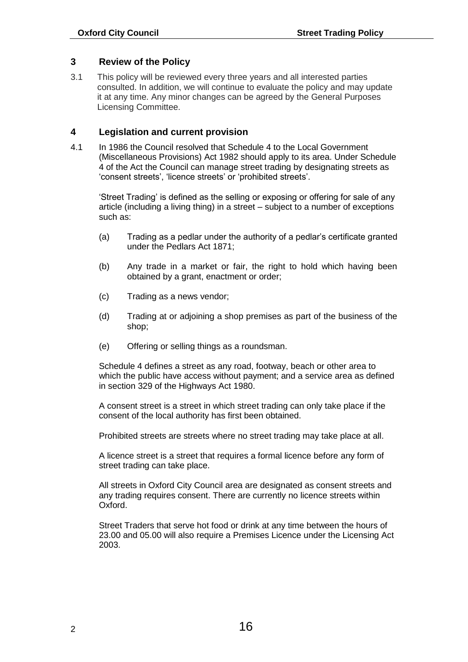#### <span id="page-5-0"></span>**3 Review of the Policy**

3.1 This policy will be reviewed every three years and all interested parties consulted. In addition, we will continue to evaluate the policy and may update it at any time. Any minor changes can be agreed by the General Purposes Licensing Committee.

#### <span id="page-5-1"></span>**4 Legislation and current provision**

4.1 In 1986 the Council resolved that Schedule 4 to the Local Government (Miscellaneous Provisions) Act 1982 should apply to its area. Under Schedule 4 of the Act the Council can manage street trading by designating streets as 'consent streets', 'licence streets' or 'prohibited streets'.

'Street Trading' is defined as the selling or exposing or offering for sale of any article (including a living thing) in a street – subject to a number of exceptions such as:

- (a) Trading as a pedlar under the authority of a pedlar's certificate granted under the Pedlars Act 1871;
- (b) Any trade in a market or fair, the right to hold which having been obtained by a grant, enactment or order;
- (c) Trading as a news vendor;
- (d) Trading at or adjoining a shop premises as part of the business of the shop;
- (e) Offering or selling things as a roundsman.

Schedule 4 defines a street as any road, footway, beach or other area to which the public have access without payment; and a service area as defined in section 329 of the Highways Act 1980.

A consent street is a street in which street trading can only take place if the consent of the local authority has first been obtained.

Prohibited streets are streets where no street trading may take place at all.

A licence street is a street that requires a formal licence before any form of street trading can take place.

All streets in Oxford City Council area are designated as consent streets and any trading requires consent. There are currently no licence streets within Oxford.

<span id="page-5-2"></span>Street Traders that serve hot food or drink at any time between the hours of 23.00 and 05.00 will also require a Premises Licence under the Licensing Act 2003.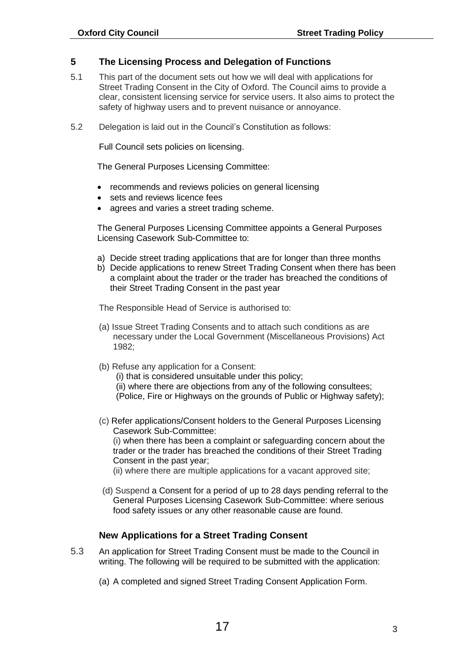#### **5 The Licensing Process and Delegation of Functions**

- 5.1 This part of the document sets out how we will deal with applications for Street Trading Consent in the City of Oxford. The Council aims to provide a clear, consistent licensing service for service users. It also aims to protect the safety of highway users and to prevent nuisance or annoyance.
- 5.2 Delegation is laid out in the Council's Constitution as follows:

Full Council sets policies on licensing.

The General Purposes Licensing Committee:

- recommends and reviews policies on general licensing
- sets and reviews licence fees
- agrees and varies a street trading scheme.

The General Purposes Licensing Committee appoints a General Purposes Licensing Casework Sub-Committee to:

- a) Decide street trading applications that are for longer than three months
- b) Decide applications to renew Street Trading Consent when there has been a complaint about the trader or the trader has breached the conditions of their Street Trading Consent in the past year

The Responsible Head of Service is authorised to:

- (a) Issue Street Trading Consents and to attach such conditions as are necessary under the Local Government (Miscellaneous Provisions) Act 1982;
- (b) Refuse any application for a Consent:

(i) that is considered unsuitable under this policy;

- (ii) where there are objections from any of the following consultees;
- (Police, Fire or Highways on the grounds of Public or Highway safety);
- (c) Refer applications/Consent holders to the General Purposes Licensing Casework Sub-Committee:

(i) when there has been a complaint or safeguarding concern about the trader or the trader has breached the conditions of their Street Trading Consent in the past year;

- (ii) where there are multiple applications for a vacant approved site;
- (d) Suspend a Consent for a period of up to 28 days pending referral to the General Purposes Licensing Casework Sub-Committee: where serious food safety issues or any other reasonable cause are found.

#### <span id="page-6-0"></span>**New Applications for a Street Trading Consent**

- 5.3 An application for Street Trading Consent must be made to the Council in writing. The following will be required to be submitted with the application:
	- (a) A completed and signed Street Trading Consent Application Form.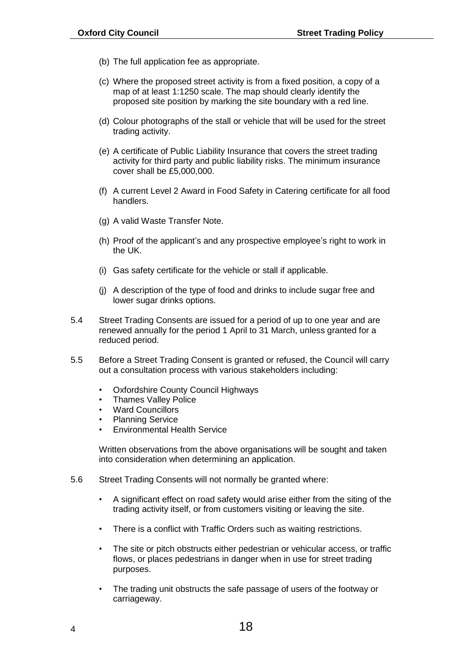- (b) The full application fee as appropriate.
- (c) Where the proposed street activity is from a fixed position, a copy of a map of at least 1:1250 scale. The map should clearly identify the proposed site position by marking the site boundary with a red line.
- (d) Colour photographs of the stall or vehicle that will be used for the street trading activity.
- (e) A certificate of Public Liability Insurance that covers the street trading activity for third party and public liability risks. The minimum insurance cover shall be £5,000,000.
- (f) A current Level 2 Award in Food Safety in Catering certificate for all food handlers.
- (g) A valid Waste Transfer Note.
- (h) Proof of the applicant's and any prospective employee's right to work in the UK.
- (i) Gas safety certificate for the vehicle or stall if applicable.
- (j) A description of the type of food and drinks to include sugar free and lower sugar drinks options.
- 5.4 Street Trading Consents are issued for a period of up to one year and are renewed annually for the period 1 April to 31 March, unless granted for a reduced period.
- 5.5 Before a Street Trading Consent is granted or refused, the Council will carry out a consultation process with various stakeholders including:
	- Oxfordshire County Council Highways
	- Thames Valley Police
	- Ward Councillors
	- Planning Service
	- Environmental Health Service

Written observations from the above organisations will be sought and taken into consideration when determining an application.

- 5.6 Street Trading Consents will not normally be granted where:
	- A significant effect on road safety would arise either from the siting of the trading activity itself, or from customers visiting or leaving the site.
	- There is a conflict with Traffic Orders such as waiting restrictions.
	- The site or pitch obstructs either pedestrian or vehicular access, or traffic flows, or places pedestrians in danger when in use for street trading purposes.
	- The trading unit obstructs the safe passage of users of the footway or carriageway.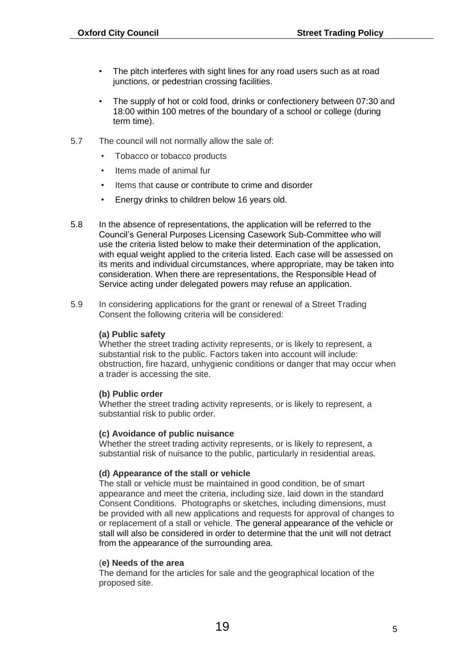- The pitch interferes with sight lines for any road users such as at road junctions, or pedestrian crossing facilities.
- The supply of hot or cold food, drinks or confectionery between 07:30 and 18:00 within 100 metres of the boundary of a school or college (during term time).
- 5.7 The council will not normally allow the sale of:
	- Tobacco or tobacco products
	- Items made of animal fur
	- Items that cause or contribute to crime and disorder
	- Energy drinks to children below 16 years old.
- 5.8 In the absence of representations, the application will be referred to the Council's General Purposes Licensing Casework Sub-Committee who will use the criteria listed below to make their determination of the application, with equal weight applied to the criteria listed. Each case will be assessed on its merits and individual circumstances, where appropriate, may be taken into consideration. When there are representations, the Responsible Head of Service acting under delegated powers may refuse an application.
- 5.9 In considering applications for the grant or renewal of a Street Trading Consent the following criteria will be considered:

#### **(a) Public safety**

Whether the street trading activity represents, or is likely to represent, a substantial risk to the public. Factors taken into account will include: obstruction, fire hazard, unhygienic conditions or danger that may occur when a trader is accessing the site.

#### **(b) Public order**

Whether the street trading activity represents, or is likely to represent, a substantial risk to public order.

#### **(c) Avoidance of public nuisance**

Whether the street trading activity represents, or is likely to represent, a substantial risk of nuisance to the public, particularly in residential areas.

#### **(d) Appearance of the stall or vehicle**

The stall or vehicle must be maintained in good condition, be of smart appearance and meet the criteria, including size, laid down in the standard Consent Conditions. Photographs or sketches, including dimensions, must be provided with all new applications and requests for approval of changes to or replacement of a stall or vehicle. The general appearance of the vehicle or stall will also be considered in order to determine that the unit will not detract from the appearance of the surrounding area.

#### (**e) Needs of the area**

The demand for the articles for sale and the geographical location of the proposed site.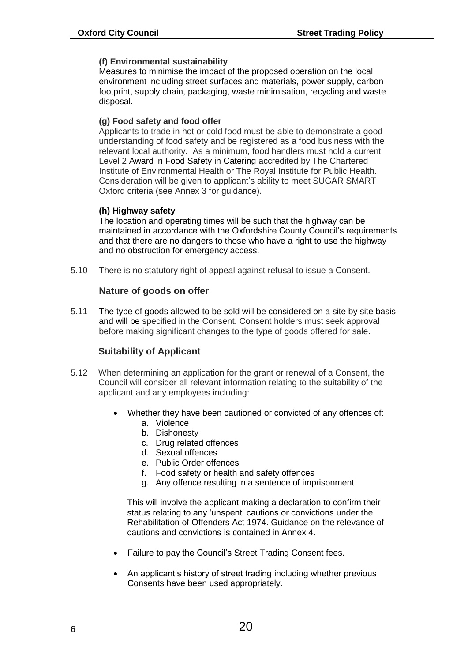#### **(f) Environmental sustainability**

Measures to minimise the impact of the proposed operation on the local environment including street surfaces and materials, power supply, carbon footprint, supply chain, packaging, waste minimisation, recycling and waste disposal.

#### **(g) Food safety and food offer**

Applicants to trade in hot or cold food must be able to demonstrate a good understanding of food safety and be registered as a food business with the relevant local authority. As a minimum, food handlers must hold a current Level 2 Award in Food Safety in Catering accredited by The Chartered Institute of Environmental Health or The Royal Institute for Public Health. Consideration will be given to applicant's ability to meet SUGAR SMART Oxford criteria (see Annex 3 for guidance).

#### **(h) Highway safety**

The location and operating times will be such that the highway can be maintained in accordance with the Oxfordshire County Council's requirements and that there are no dangers to those who have a right to use the highway and no obstruction for emergency access.

5.10 There is no statutory right of appeal against refusal to issue a Consent.

#### **Nature of goods on offer**

5.11 The type of goods allowed to be sold will be considered on a site by site basis and will be specified in the Consent. Consent holders must seek approval before making significant changes to the type of goods offered for sale.

#### **Suitability of Applicant**

- 5.12 When determining an application for the grant or renewal of a Consent, the Council will consider all relevant information relating to the suitability of the applicant and any employees including:
	- Whether they have been cautioned or convicted of any offences of:
		- a. Violence
			- b. Dishonesty
			- c. Drug related offences
			- d. Sexual offences
			- e. Public Order offences
			- f. Food safety or health and safety offences
			- g. Any offence resulting in a sentence of imprisonment

This will involve the applicant making a declaration to confirm their status relating to any 'unspent' cautions or convictions under the Rehabilitation of Offenders Act 1974. Guidance on the relevance of cautions and convictions is contained in Annex 4.

- Failure to pay the Council's Street Trading Consent fees.
- An applicant's history of street trading including whether previous Consents have been used appropriately.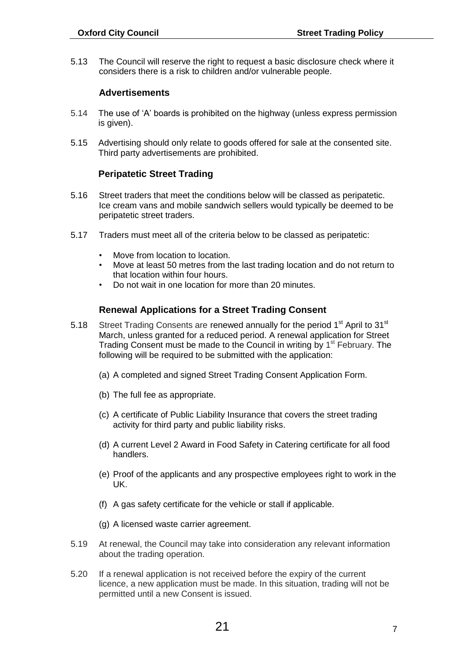5.13 The Council will reserve the right to request a basic disclosure check where it considers there is a risk to children and/or vulnerable people.

#### **Advertisements**

- 5.14 The use of 'A' boards is prohibited on the highway (unless express permission is given).
- 5.15 Advertising should only relate to goods offered for sale at the consented site. Third party advertisements are prohibited.

#### **Peripatetic Street Trading**

- 5.16 Street traders that meet the conditions below will be classed as peripatetic. Ice cream vans and mobile sandwich sellers would typically be deemed to be peripatetic street traders.
- 5.17 Traders must meet all of the criteria below to be classed as peripatetic:
	- Move from location to location.
	- Move at least 50 metres from the last trading location and do not return to that location within four hours.
	- Do not wait in one location for more than 20 minutes.

#### <span id="page-10-0"></span>**Renewal Applications for a Street Trading Consent**

- 5.18 Street Trading Consents are renewed annually for the period  $1<sup>st</sup>$  April to  $31<sup>st</sup>$ March, unless granted for a reduced period. A renewal application for Street Trading Consent must be made to the Council in writing by 1<sup>st</sup> February. The following will be required to be submitted with the application:
	- (a) A completed and signed Street Trading Consent Application Form.
	- (b) The full fee as appropriate.
	- (c) A certificate of Public Liability Insurance that covers the street trading activity for third party and public liability risks.
	- (d) A current Level 2 Award in Food Safety in Catering certificate for all food handlers.
	- (e) Proof of the applicants and any prospective employees right to work in the UK.
	- (f) A gas safety certificate for the vehicle or stall if applicable.
	- (g) A licensed waste carrier agreement.
- 5.19 At renewal, the Council may take into consideration any relevant information about the trading operation.
- 5.20 If a renewal application is not received before the expiry of the current licence, a new application must be made. In this situation, trading will not be permitted until a new Consent is issued.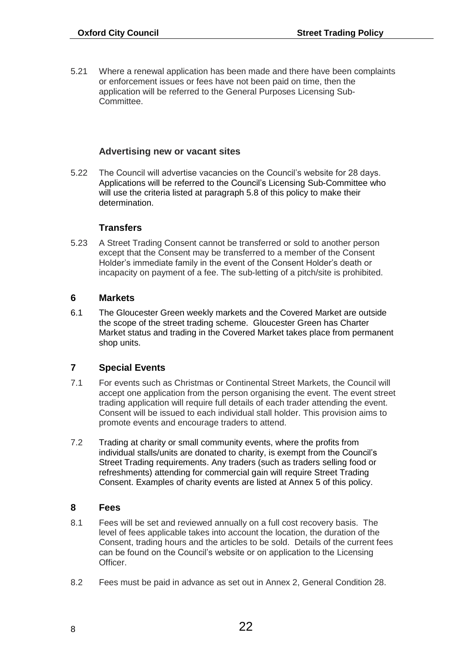5.21 Where a renewal application has been made and there have been complaints or enforcement issues or fees have not been paid on time, then the application will be referred to the General Purposes Licensing Sub-Committee.

#### **Advertising new or vacant sites**

5.22 The Council will advertise vacancies on the Council's website for 28 days. Applications will be referred to the Council's Licensing Sub-Committee who will use the criteria listed at paragraph 5.8 of this policy to make their determination.

#### **Transfers**

<span id="page-11-0"></span>5.23 A Street Trading Consent cannot be transferred or sold to another person except that the Consent may be transferred to a member of the Consent Holder's immediate family in the event of the Consent Holder's death or incapacity on payment of a fee. The sub-letting of a pitch/site is prohibited.

#### <span id="page-11-1"></span>**6 Markets**

6.1 The Gloucester Green weekly markets and the Covered Market are outside the scope of the street trading scheme. Gloucester Green has Charter Market status and trading in the Covered Market takes place from permanent shop units.

#### <span id="page-11-2"></span>**7 Special Events**

- 7.1 For events such as Christmas or Continental Street Markets, the Council will accept one application from the person organising the event. The event street trading application will require full details of each trader attending the event. Consent will be issued to each individual stall holder. This provision aims to promote events and encourage traders to attend.
- 7.2 Trading at charity or small community events, where the profits from individual stalls/units are donated to charity, is exempt from the Council's Street Trading requirements. Any traders (such as traders selling food or refreshments) attending for commercial gain will require Street Trading Consent. Examples of charity events are listed at Annex 5 of this policy.

#### <span id="page-11-3"></span>**8 Fees**

- 8.1 Fees will be set and reviewed annually on a full cost recovery basis. The level of fees applicable takes into account the location, the duration of the Consent, trading hours and the articles to be sold. Details of the current fees can be found on the Council's website or on application to the Licensing Officer.
- 8.2 Fees must be paid in advance as set out in Annex 2, General Condition 28.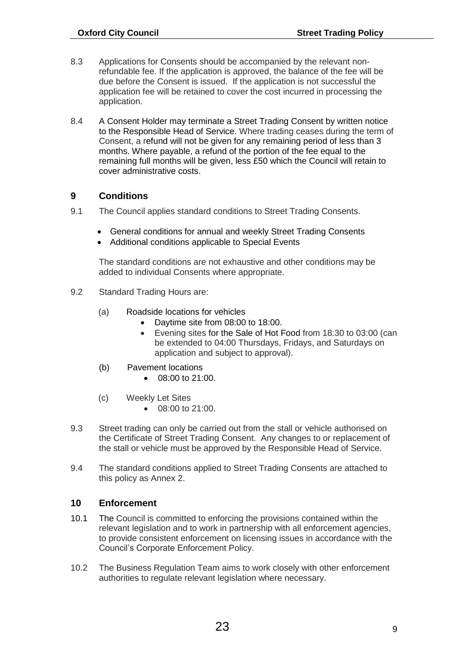- 8.3 Applications for Consents should be accompanied by the relevant nonrefundable fee. If the application is approved, the balance of the fee will be due before the Consent is issued. If the application is not successful the application fee will be retained to cover the cost incurred in processing the application.
- 8.4 A Consent Holder may terminate a Street Trading Consent by written notice to the Responsible Head of Service. Where trading ceases during the term of Consent, a refund will not be given for any remaining period of less than 3 months. Where payable, a refund of the portion of the fee equal to the remaining full months will be given, less £50 which the Council will retain to cover administrative costs.

#### <span id="page-12-0"></span>**9 Conditions**

- 9.1 The Council applies standard conditions to Street Trading Consents.
	- General conditions for annual and weekly Street Trading Consents
	- Additional conditions applicable to Special Events

The standard conditions are not exhaustive and other conditions may be added to individual Consents where appropriate.

- 9.2 Standard Trading Hours are:
	- (a) Roadside locations for vehicles
		- Daytime site from 08:00 to 18:00.
		- Evening sites for the Sale of Hot Food from 18:30 to 03:00 (can be extended to 04:00 Thursdays, Fridays, and Saturdays on application and subject to approval).
	- (b) Pavement locations
		- $\bullet$  08:00 to 21:00.
	- (c) Weekly Let Sites
		- 08:00 to 21:00.
- 9.3 Street trading can only be carried out from the stall or vehicle authorised on the Certificate of Street Trading Consent. Any changes to or replacement of the stall or vehicle must be approved by the Responsible Head of Service.
- 9.4 The standard conditions applied to Street Trading Consents are attached to this policy as Annex 2.

#### <span id="page-12-1"></span>**10 Enforcement**

- 10.1 The Council is committed to enforcing the provisions contained within the relevant legislation and to work in partnership with all enforcement agencies, to provide consistent enforcement on licensing issues in accordance with the Council's Corporate Enforcement Policy.
- 10.2 The Business Regulation Team aims to work closely with other enforcement authorities to regulate relevant legislation where necessary.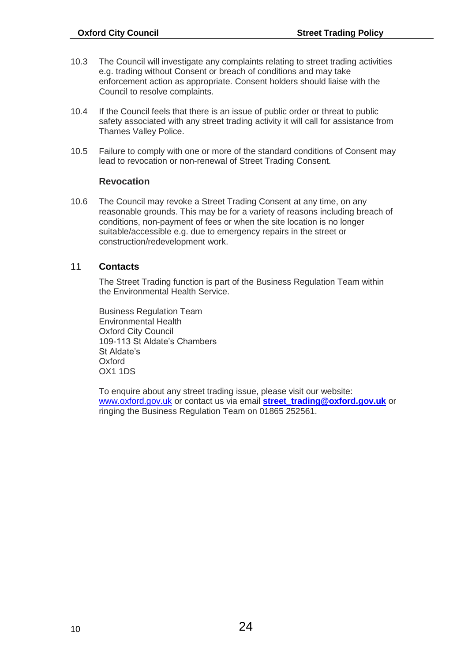- 10.3 The Council will investigate any complaints relating to street trading activities e.g. trading without Consent or breach of conditions and may take enforcement action as appropriate. Consent holders should liaise with the Council to resolve complaints.
- 10.4 If the Council feels that there is an issue of public order or threat to public safety associated with any street trading activity it will call for assistance from Thames Valley Police.
- 10.5 Failure to comply with one or more of the standard conditions of Consent may lead to revocation or non-renewal of Street Trading Consent.

#### **Revocation**

10.6 The Council may revoke a Street Trading Consent at any time, on any reasonable grounds. This may be for a variety of reasons including breach of conditions, non-payment of fees or when the site location is no longer suitable/accessible e.g. due to emergency repairs in the street or construction/redevelopment work.

#### <span id="page-13-0"></span>11 **Contacts**

The Street Trading function is part of the Business Regulation Team within the Environmental Health Service.

Business Regulation Team Environmental Health Oxford City Council 109-113 St Aldate's Chambers St Aldate's Oxford OX1 1DS

To enquire about any street trading issue, please visit our website: [www.oxford.gov.uk](http://www.oxford.gov.uk/) or contact us via email **street trading@oxford.gov.uk** or ringing the Business Regulation Team on 01865 252561.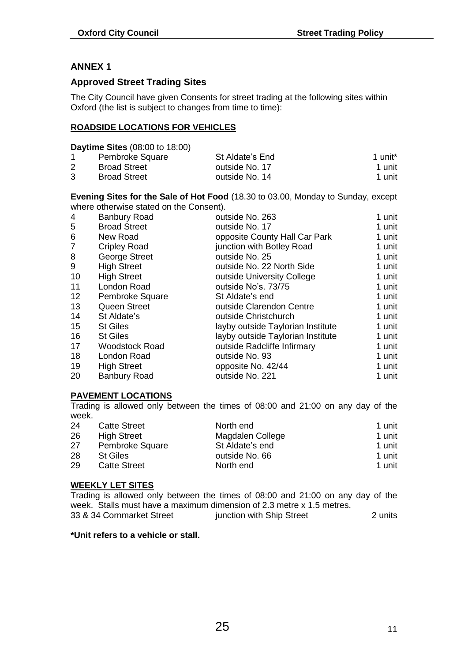#### **ANNEX 1**

#### **Approved Street Trading Sites**

The City Council have given Consents for street trading at the following sites within Oxford (the list is subject to changes from time to time):

#### **ROADSIDE LOCATIONS FOR VEHICLES**

**Daytime Sites** (08:00 to 18:00)

| Pembroke Square     | St Aldate's End | 1 unit <sup>*</sup> |
|---------------------|-----------------|---------------------|
| <b>Broad Street</b> | outside No. 17  | 1 unit              |
| <b>Broad Street</b> | outside No. 14  | 1 unit              |

**Evening Sites for the Sale of Hot Food** (18.30 to 03.00, Monday to Sunday, except where otherwise stated on the Consent).

| <b>Banbury Road</b>   | outside No. 263                   | 1 unit |
|-----------------------|-----------------------------------|--------|
| <b>Broad Street</b>   | outside No. 17                    | 1 unit |
| New Road              | opposite County Hall Car Park     | 1 unit |
| <b>Cripley Road</b>   | junction with Botley Road         | 1 unit |
| George Street         | outside No. 25                    | 1 unit |
| <b>High Street</b>    | outside No. 22 North Side         | 1 unit |
| <b>High Street</b>    | outside University College        | 1 unit |
| London Road           | outside No's. 73/75               | 1 unit |
| Pembroke Square       | St Aldate's end                   | 1 unit |
| <b>Queen Street</b>   | outside Clarendon Centre          | 1 unit |
| St Aldate's           | outside Christchurch              | 1 unit |
| <b>St Giles</b>       | layby outside Taylorian Institute | 1 unit |
| <b>St Giles</b>       | layby outside Taylorian Institute | 1 unit |
| <b>Woodstock Road</b> | outside Radcliffe Infirmary       | 1 unit |
| London Road           | outside No. 93                    | 1 unit |
| <b>High Street</b>    | opposite No. 42/44                | 1 unit |
| <b>Banbury Road</b>   | outside No. 221                   | 1 unit |
|                       |                                   |        |

#### **PAVEMENT LOCATIONS**

Trading is allowed only between the times of 08:00 and 21:00 on any day of the week.

| 24 | <b>Catte Street</b>    | North end        | 1 unit |
|----|------------------------|------------------|--------|
| 26 | <b>High Street</b>     | Magdalen College | 1 unit |
| 27 | <b>Pembroke Square</b> | St Aldate's end  | 1 unit |
| 28 | <b>St Giles</b>        | outside No. 66   | 1 unit |
| 29 | <b>Catte Street</b>    | North end        | 1 unit |
|    |                        |                  |        |

#### **WEEKLY LET SITES**

Trading is allowed only between the times of 08:00 and 21:00 on any day of the week. Stalls must have a maximum dimension of 2.3 metre x 1.5 metres.<br>33 & 34 Cornmarket Street innction with Ship Street junction with Ship Street 2 units

<span id="page-14-0"></span>**\*Unit refers to a vehicle or stall.**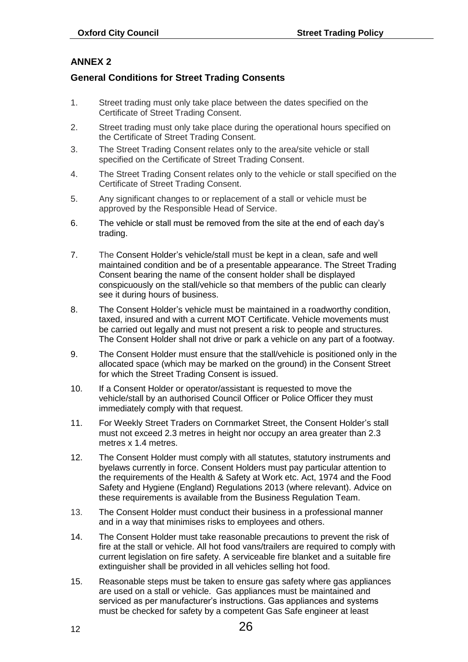### **ANNEX 2**

### **General Conditions for Street Trading Consents**

- 1. Street trading must only take place between the dates specified on the Certificate of Street Trading Consent.
- 2. Street trading must only take place during the operational hours specified on the Certificate of Street Trading Consent.
- 3. The Street Trading Consent relates only to the area/site vehicle or stall specified on the Certificate of Street Trading Consent.
- 4. The Street Trading Consent relates only to the vehicle or stall specified on the Certificate of Street Trading Consent.
- 5. Any significant changes to or replacement of a stall or vehicle must be approved by the Responsible Head of Service.
- 6. The vehicle or stall must be removed from the site at the end of each day's trading.
- 7. The Consent Holder's vehicle/stall must be kept in a clean, safe and well maintained condition and be of a presentable appearance. The Street Trading Consent bearing the name of the consent holder shall be displayed conspicuously on the stall/vehicle so that members of the public can clearly see it during hours of business.
- 8. The Consent Holder's vehicle must be maintained in a roadworthy condition, taxed, insured and with a current MOT Certificate. Vehicle movements must be carried out legally and must not present a risk to people and structures. The Consent Holder shall not drive or park a vehicle on any part of a footway.
- 9. The Consent Holder must ensure that the stall/vehicle is positioned only in the allocated space (which may be marked on the ground) in the Consent Street for which the Street Trading Consent is issued.
- 10. If a Consent Holder or operator/assistant is requested to move the vehicle/stall by an authorised Council Officer or Police Officer they must immediately comply with that request.
- 11. For Weekly Street Traders on Cornmarket Street, the Consent Holder's stall must not exceed 2.3 metres in height nor occupy an area greater than 2.3 metres x 1.4 metres.
- 12. The Consent Holder must comply with all statutes, statutory instruments and byelaws currently in force. Consent Holders must pay particular attention to the requirements of the Health & Safety at Work etc. Act, 1974 and the Food Safety and Hygiene (England) Regulations 2013 (where relevant). Advice on these requirements is available from the Business Regulation Team.
- 13. The Consent Holder must conduct their business in a professional manner and in a way that minimises risks to employees and others.
- 14. The Consent Holder must take reasonable precautions to prevent the risk of fire at the stall or vehicle. All hot food vans/trailers are required to comply with current legislation on fire safety. A serviceable fire blanket and a suitable fire extinguisher shall be provided in all vehicles selling hot food.
- 15. Reasonable steps must be taken to ensure gas safety where gas appliances are used on a stall or vehicle. Gas appliances must be maintained and serviced as per manufacturer's instructions. Gas appliances and systems must be checked for safety by a competent Gas Safe engineer at least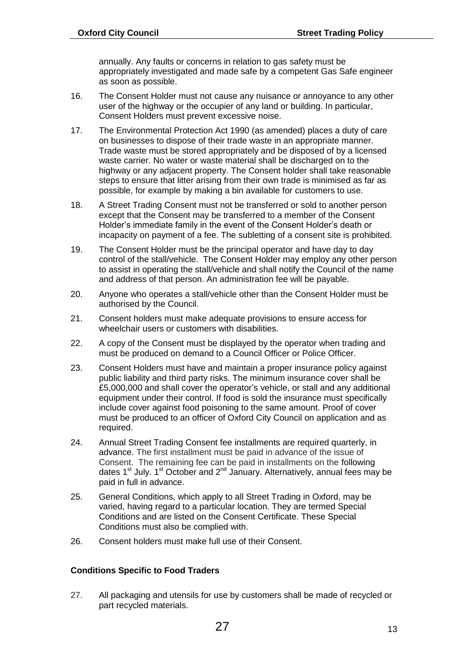annually. Any faults or concerns in relation to gas safety must be appropriately investigated and made safe by a competent Gas Safe engineer as soon as possible.

- 16. The Consent Holder must not cause any nuisance or annoyance to any other user of the highway or the occupier of any land or building. In particular, Consent Holders must prevent excessive noise.
- 17. The Environmental Protection Act 1990 (as amended) places a duty of care on businesses to dispose of their trade waste in an appropriate manner. Trade waste must be stored appropriately and be disposed of by a licensed waste carrier. No water or waste material shall be discharged on to the highway or any adjacent property. The Consent holder shall take reasonable steps to ensure that litter arising from their own trade is minimised as far as possible, for example by making a bin available for customers to use.
- 18. A Street Trading Consent must not be transferred or sold to another person except that the Consent may be transferred to a member of the Consent Holder's immediate family in the event of the Consent Holder's death or incapacity on payment of a fee. The subletting of a consent site is prohibited.
- 19. The Consent Holder must be the principal operator and have day to day control of the stall/vehicle. The Consent Holder may employ any other person to assist in operating the stall/vehicle and shall notify the Council of the name and address of that person. An administration fee will be payable.
- 20. Anyone who operates a stall/vehicle other than the Consent Holder must be authorised by the Council.
- 21. Consent holders must make adequate provisions to ensure access for wheelchair users or customers with disabilities.
- 22. A copy of the Consent must be displayed by the operator when trading and must be produced on demand to a Council Officer or Police Officer.
- 23. Consent Holders must have and maintain a proper insurance policy against public liability and third party risks. The minimum insurance cover shall be £5,000,000 and shall cover the operator's vehicle, or stall and any additional equipment under their control. If food is sold the insurance must specifically include cover against food poisoning to the same amount. Proof of cover must be produced to an officer of Oxford City Council on application and as required.
- 24. Annual Street Trading Consent fee installments are required quarterly, in advance. The first installment must be paid in advance of the issue of Consent. The remaining fee can be paid in installments on the following dates  $1^{st}$  July.  $1^{st}$  October and  $2^{nd}$  January. Alternatively, annual fees may be paid in full in advance.
- 25. General Conditions, which apply to all Street Trading in Oxford, may be varied, having regard to a particular location. They are termed Special Conditions and are listed on the Consent Certificate. These Special Conditions must also be complied with.
- 26. Consent holders must make full use of their Consent.

#### **Conditions Specific to Food Traders**

27. All packaging and utensils for use by customers shall be made of recycled or part recycled materials.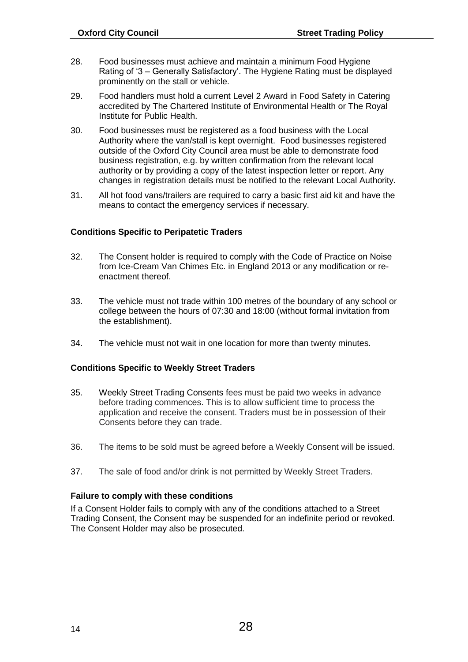- 28. Food businesses must achieve and maintain a minimum Food Hygiene Rating of '3 – Generally Satisfactory'. The Hygiene Rating must be displayed prominently on the stall or vehicle.
- 29. Food handlers must hold a current Level 2 Award in Food Safety in Catering accredited by The Chartered Institute of Environmental Health or The Royal Institute for Public Health.
- 30. Food businesses must be registered as a food business with the Local Authority where the van/stall is kept overnight. Food businesses registered outside of the Oxford City Council area must be able to demonstrate food business registration, e.g. by written confirmation from the relevant local authority or by providing a copy of the latest inspection letter or report. Any changes in registration details must be notified to the relevant Local Authority.
- 31. All hot food vans/trailers are required to carry a basic first aid kit and have the means to contact the emergency services if necessary.

#### **Conditions Specific to Peripatetic Traders**

- 32. The Consent holder is required to comply with the Code of Practice on Noise from Ice-Cream Van Chimes Etc. in England 2013 or any modification or reenactment thereof.
- 33. The vehicle must not trade within 100 metres of the boundary of any school or college between the hours of 07:30 and 18:00 (without formal invitation from the establishment).
- 34. The vehicle must not wait in one location for more than twenty minutes.

#### **Conditions Specific to Weekly Street Traders**

- 35. Weekly Street Trading Consents fees must be paid two weeks in advance before trading commences. This is to allow sufficient time to process the application and receive the consent. Traders must be in possession of their Consents before they can trade.
- 36. The items to be sold must be agreed before a Weekly Consent will be issued.
- 37. The sale of food and/or drink is not permitted by Weekly Street Traders.

#### **Failure to comply with these conditions**

If a Consent Holder fails to comply with any of the conditions attached to a Street Trading Consent, the Consent may be suspended for an indefinite period or revoked. The Consent Holder may also be prosecuted.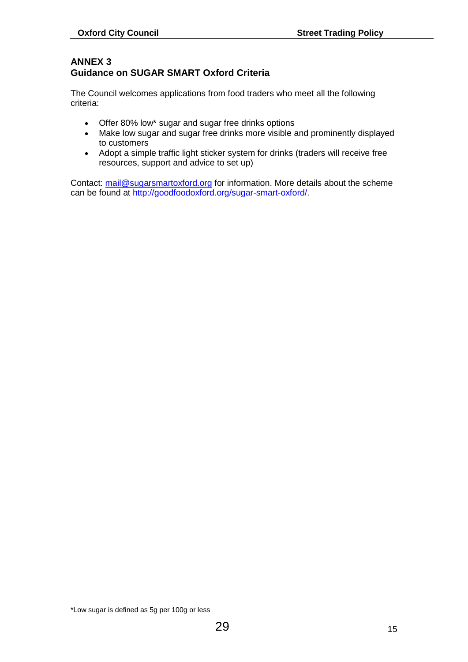#### **ANNEX 3 Guidance on SUGAR SMART Oxford Criteria**

The Council welcomes applications from food traders who meet all the following criteria:

- Offer 80% low\* sugar and sugar free drinks options
- Make low sugar and sugar free drinks more visible and prominently displayed to customers
- Adopt a simple traffic light sticker system for drinks (traders will receive free resources, support and advice to set up)

Contact: [mail@sugarsmartoxford.org](mailto:mail@sugarsmartoxford.org) for information. More details about the scheme can be found at [http://goodfoodoxford.org/sugar-smart-oxford/.](http://goodfoodoxford.org/sugar-smart-oxford/)

\*Low sugar is defined as 5g per 100g or less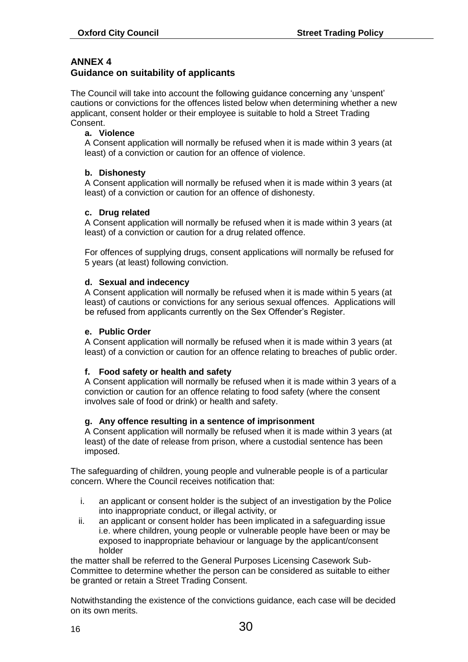#### **ANNEX 4**

#### **Guidance on suitability of applicants**

The Council will take into account the following guidance concerning any 'unspent' cautions or convictions for the offences listed below when determining whether a new applicant, consent holder or their employee is suitable to hold a Street Trading Consent.

#### **a. Violence**

A Consent application will normally be refused when it is made within 3 years (at least) of a conviction or caution for an offence of violence.

#### **b. Dishonesty**

A Consent application will normally be refused when it is made within 3 years (at least) of a conviction or caution for an offence of dishonesty.

#### **c. Drug related**

A Consent application will normally be refused when it is made within 3 years (at least) of a conviction or caution for a drug related offence.

For offences of supplying drugs, consent applications will normally be refused for 5 years (at least) following conviction.

#### **d. Sexual and indecency**

A Consent application will normally be refused when it is made within 5 years (at least) of cautions or convictions for any serious sexual offences. Applications will be refused from applicants currently on the Sex Offender's Register.

#### **e. Public Order**

A Consent application will normally be refused when it is made within 3 years (at least) of a conviction or caution for an offence relating to breaches of public order.

#### **f. Food safety or health and safety**

A Consent application will normally be refused when it is made within 3 years of a conviction or caution for an offence relating to food safety (where the consent involves sale of food or drink) or health and safety.

#### **g. Any offence resulting in a sentence of imprisonment**

A Consent application will normally be refused when it is made within 3 years (at least) of the date of release from prison, where a custodial sentence has been imposed.

The safeguarding of children, young people and vulnerable people is of a particular concern. Where the Council receives notification that:

- i. an applicant or consent holder is the subject of an investigation by the Police into inappropriate conduct, or illegal activity, or
- ii. an applicant or consent holder has been implicated in a safeguarding issue i.e. where children, young people or vulnerable people have been or may be exposed to inappropriate behaviour or language by the applicant/consent holder

the matter shall be referred to the General Purposes Licensing Casework Sub-Committee to determine whether the person can be considered as suitable to either be granted or retain a Street Trading Consent.

Notwithstanding the existence of the convictions guidance, each case will be decided on its own merits.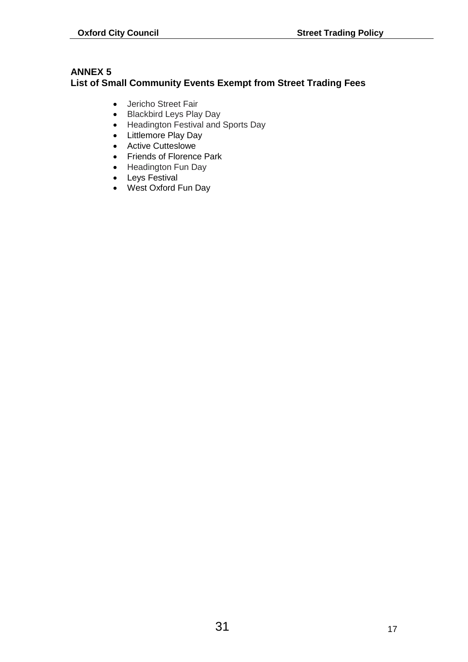#### **ANNEX 5 List of Small Community Events Exempt from Street Trading Fees**

- **•** Jericho Street Fair
- Blackbird Leys Play Day
- Headington Festival and Sports Day
- Littlemore Play Day
- Active Cutteslowe
- Friends of Florence Park
- Headington Fun Day
- Leys Festival
- West Oxford Fun Day